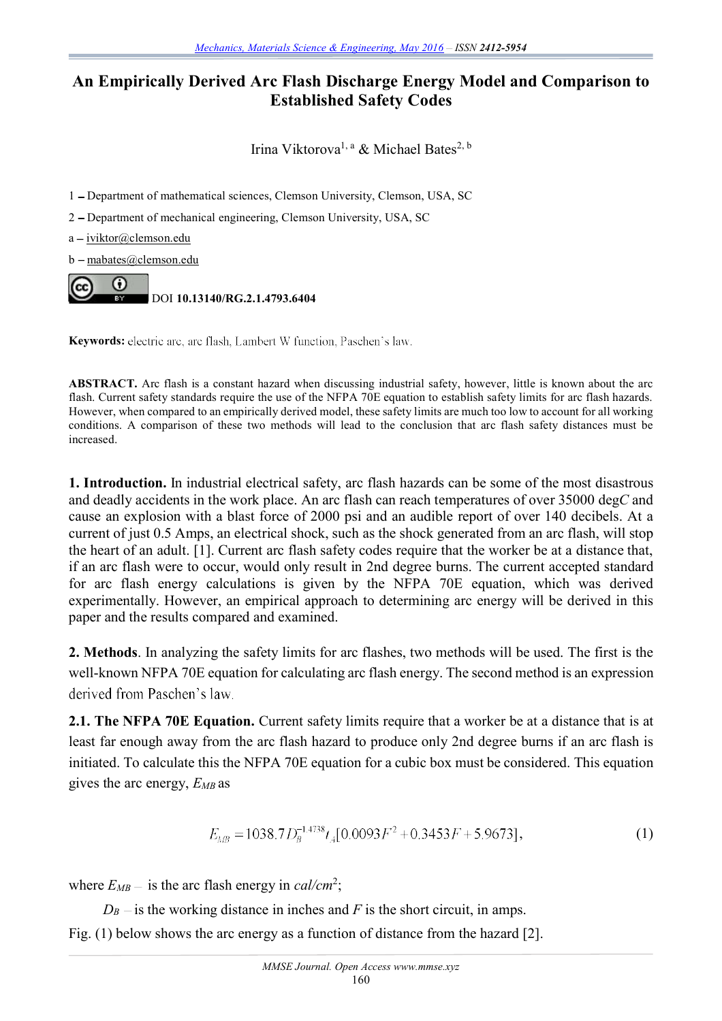## **An Empirically Derived Arc Flash Discharge Energy Model and Comparison to Established Safety Codes**

Irina Viktorova<sup>1, a</sup> & Michael Bates<sup>2, b</sup>

1 - Department of mathematical sciences, Clemson University, Clemson, USA, SC

2 Department of mechanical engineering, Clemson University, USA, SC

 $a - iviktor@clemson.edu$ 

b - mabates@clemson.edu



**Keywords:** electric arc, arc flash, Lambert W function, Paschen's law.

**ABSTRACT.** Arc flash is a constant hazard when discussing industrial safety, however, little is known about the arc flash. Current safety standards require the use of the NFPA 70E equation to establish safety limits for arc flash hazards. However, when compared to an empirically derived model, these safety limits are much too low to account for all working conditions. A comparison of these two methods will lead to the conclusion that arc flash safety distances must be increased.

**1. Introduction.** In industrial electrical safety, arc flash hazards can be some of the most disastrous and deadly accidents in the work place. An arc flash can reach temperatures of over 35000 deg*C* and cause an explosion with a blast force of 2000 psi and an audible report of over 140 decibels. At a current of just 0.5 Amps, an electrical shock, such as the shock generated from an arc flash, will stop the heart of an adult. [1]. Current arc flash safety codes require that the worker be at a distance that, if an arc flash were to occur, would only result in 2nd degree burns. The current accepted standard for arc flash energy calculations is given by the NFPA 70E equation, which was derived experimentally. However, an empirical approach to determining arc energy will be derived in this paper and the results compared and examined.

**2. Methods**. In analyzing the safety limits for arc flashes, two methods will be used. The first is the well-known NFPA 70E equation for calculating arc flash energy. The second method is an expression derived from Paschen's law.

**2.1. The NFPA 70E Equation.** Current safety limits require that a worker be at a distance that is at least far enough away from the arc flash hazard to produce only 2nd degree burns if an arc flash is initiated. To calculate this the NFPA 70E equation for a cubic box must be considered. This equation gives the arc energy, *EMB* as

$$
E_{MB} = 1038.7 D_B^{-1.4738} t_A [0.0093F^2 + 0.3453F + 5.9673],
$$
\n(1)

where  $E_{MB}$  – is the arc flash energy in *cal/cm*<sup>2</sup>;

 $D_B$  – is the working distance in inches and *F* is the short circuit, in amps. Fig. (1) below shows the arc energy as a function of distance from the hazard [2].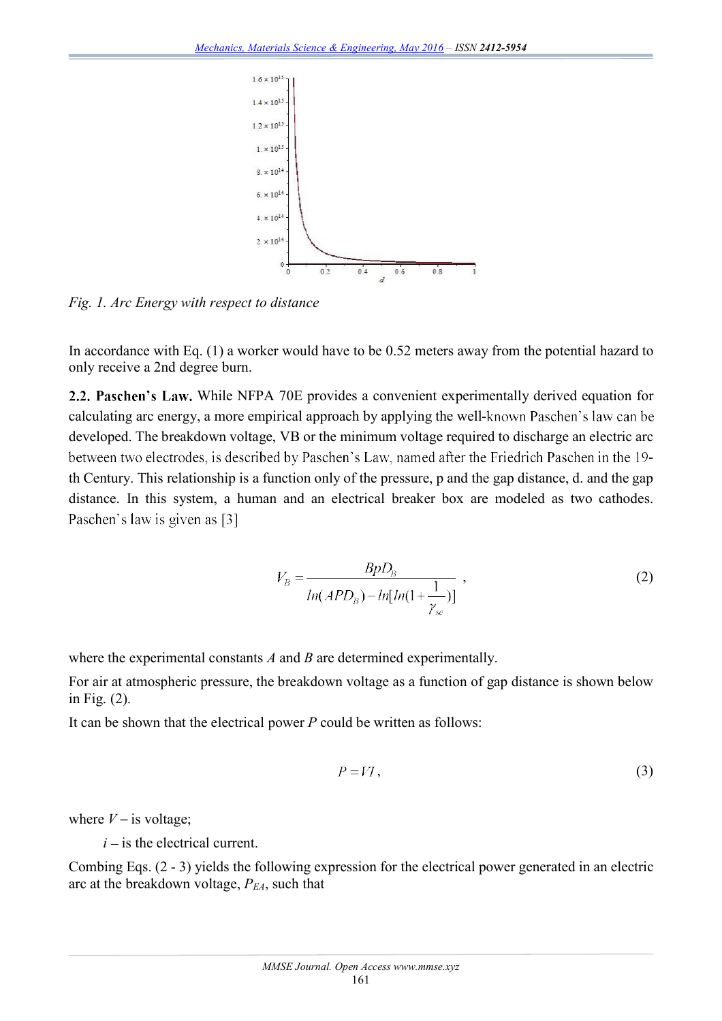

*Fig. 1. Arc Energy with respect to distance*

In accordance with Eq. (1) a worker would have to be 0.52 meters away from the potential hazard to only receive a 2nd degree burn.

2.2. Paschen's Law. While NFPA 70E provides a convenient experimentally derived equation for calculating arc energy, a more empirical approach by applying the well-known Paschen's law can be developed. The breakdown voltage, VB or the minimum voltage required to discharge an electric arc between two electrodes, is described by Paschen's Law, named after the Friedrich Paschen in the 19th Century. This relationship is a function only of the pressure, p and the gap distance, d. and the gap distance. In this system, a human and an electrical breaker box are modeled as two cathodes. Paschen's law is given as [3]

$$
V_B = \frac{BpD_B}{ln(APD_B) - ln[ln(1 + \frac{1}{\gamma_{se}})]},
$$
\n(2)

where the experimental constants *A* and *B* are determined experimentally.

For air at atmospheric pressure, the breakdown voltage as a function of gap distance is shown below in Fig. (2).

It can be shown that the electrical power *P* could be written as follows:

$$
P = VI, \tag{3}
$$

where  $V$  – is voltage;

 $i$  – is the electrical current.

Combing Eqs. (2 - 3) yields the following expression for the electrical power generated in an electric arc at the breakdown voltage, *PEA*, such that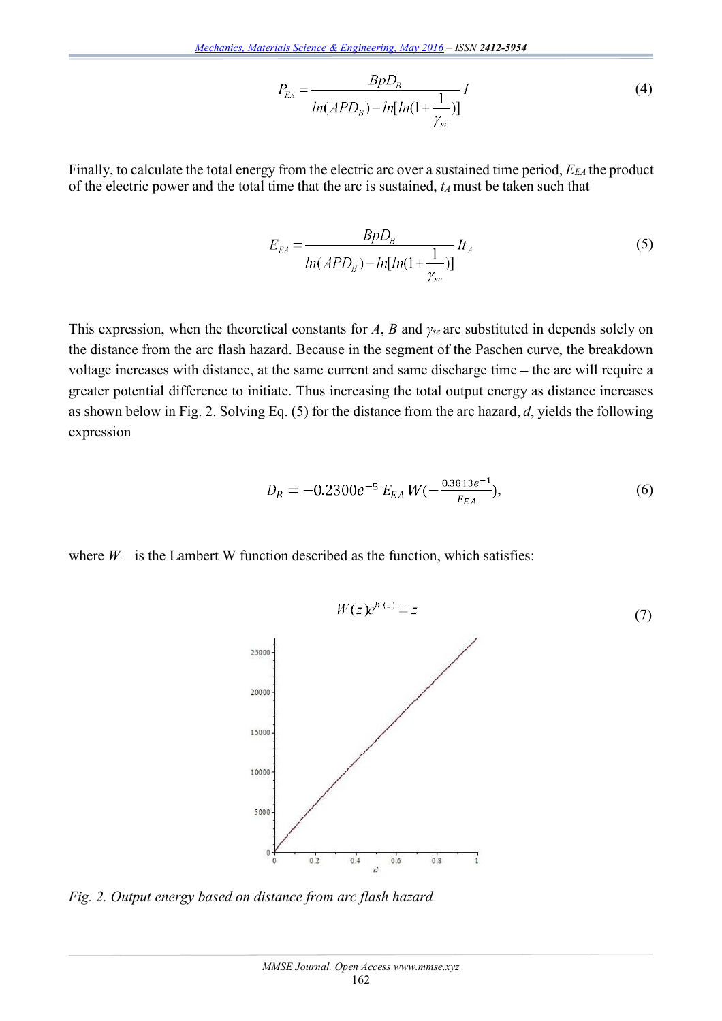$$
P_{EA} = \frac{BpD_B}{ln(APD_B) - ln[ln(1 + \frac{1}{\gamma_{se}})]}
$$
(4)

Finally, to calculate the total energy from the electric arc over a sustained time period, *EEA* the product of the electric power and the total time that the arc is sustained, *tA* must be taken such that

$$
E_{EA} = \frac{BpD_B}{ln(APD_B) - ln[ln(1 + \frac{1}{\gamma_{se}})]}lt_A
$$
\n(5)

This expression, when the theoretical constants for  $A$ ,  $B$  and  $\gamma_{se}$  are substituted in depends solely on the distance from the arc flash hazard. Because in the segment of the Paschen curve, the breakdown voltage increases with distance, at the same current and same discharge time  $-$  the arc will require a greater potential difference to initiate. Thus increasing the total output energy as distance increases as shown below in Fig. 2. Solving Eq. (5) for the distance from the arc hazard, *d*, yields the following expression

$$
D_B = -0.2300e^{-5} E_{EA} W(-\frac{0.3813e^{-1}}{E_{EA}}), \tag{6}
$$

where  $W$  – is the Lambert W function described as the function, which satisfies:



*Fig. 2. Output energy based on distance from arc flash hazard*